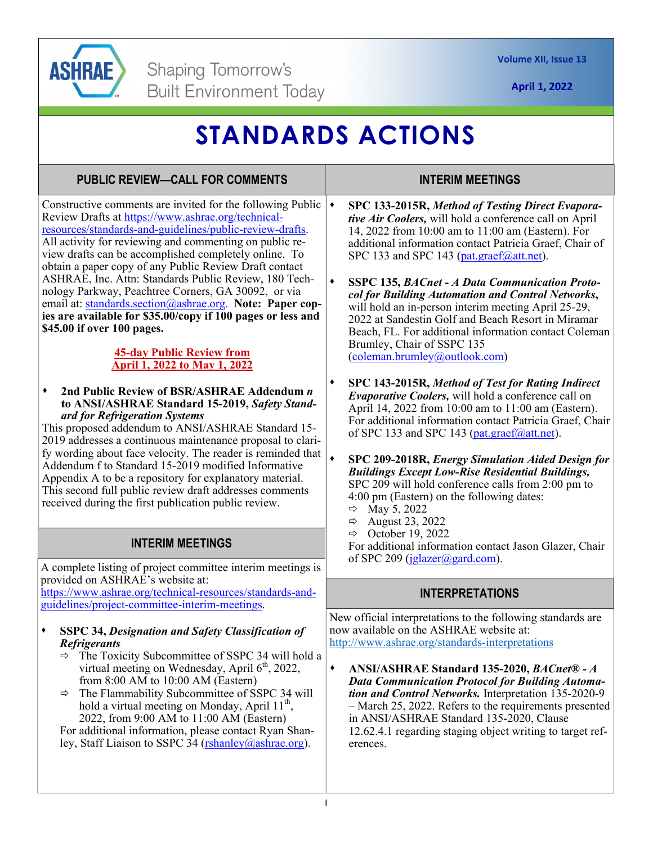

**April 1, 2022** 

# **STANDARDS ACTIONS**

## **PUBLIC REVIEW—CALL FOR COMMENTS**

Constructive comments are invited for the following Public  $\mathbf{\rightarrow}$ Review Drafts at https://www.ashrae.org/technicalresources/standards-and-guidelines/public-review-drafts. All activity for reviewing and commenting on public review drafts can be accomplished completely online. To obtain a paper copy of any Public Review Draft contact ASHRAE, Inc. Attn: Standards Public Review, 180 Technology Parkway, Peachtree Corners, GA 30092, or via email at: standards.section@ashrae.org. **Note: Paper copies are available for \$35.00/copy if 100 pages or less and \$45.00 if over 100 pages.** 

#### **45-day Public Review from April 1, 2022 to May 1, 2022**

**2nd Public Review of BSR/ASHRAE Addendum** *n*  **to ANSI/ASHRAE Standard 15-2019,** *Safety Standard for Refrigeration Systems* 

This proposed addendum to ANSI/ASHRAE Standard 15- 2019 addresses a continuous maintenance proposal to clarify wording about face velocity. The reader is reminded that Addendum f to Standard 15-2019 modified Informative Appendix A to be a repository for explanatory material. This second full public review draft addresses comments received during the first publication public review.

## **INTERIM MEETINGS**

A complete listing of project committee interim meetings is provided on ASHRAE's website at:

https://www.ashrae.org/technical-resources/standards-andguidelines/project-committee-interim-meetings.

#### **SSPC 34,** *Designation and Safety Classification of Refrigerants*

- $\Rightarrow$  The Toxicity Subcommittee of SSPC 34 will hold a virtual meeting on Wednesday, April  $6<sup>th</sup>$ , 2022, from 8:00 AM to 10:00 AM (Eastern)
- $\Rightarrow$  The Flammability Subcommittee of SSPC 34 will hold a virtual meeting on Monday, April  $11^{th}$ , 2022, from 9:00 AM to 11:00 AM (Eastern)

For additional information, please contact Ryan Shanley, Staff Liaison to SSPC  $34$  (rshanley@ashrae.org).

### **INTERIM MEETINGS**

- **SPC 133-2015R,** *Method of Testing Direct Evaporative Air Coolers,* will hold a conference call on April 14, 2022 from 10:00 am to 11:00 am (Eastern). For additional information contact Patricia Graef, Chair of SPC 133 and SPC 143 (pat.graef@att.net).
- **SSPC 135,** *BACnet A Data Communication Protocol for Building Automation and Control Networks***,**  will hold an in-person interim meeting April 25-29, 2022 at Sandestin Golf and Beach Resort in Miramar Beach, FL. For additional information contact Coleman Brumley, Chair of SSPC 135 (coleman.brumley@outlook.com)
- **SPC 143-2015R,** *Method of Test for Rating Indirect Evaporative Coolers,* will hold a conference call on April 14, 2022 from 10:00 am to 11:00 am (Eastern). For additional information contact Patricia Graef, Chair of SPC 133 and SPC 143 (pat.graef@att.net).
- **SPC 209-2018R,** *Energy Simulation Aided Design for Buildings Except Low-Rise Residential Buildings,*  SPC 209 will hold conference calls from 2:00 pm to 4:00 pm (Eastern) on the following dates:
	- $\Rightarrow$  May 5, 2022
	- $\Rightarrow$  August 23, 2022
	- $\Rightarrow$  October 19, 2022

For additional information contact Jason Glazer, Chair of SPC 209 (jglazer@gard.com).

## **INTERPRETATIONS**

New official interpretations to the following standards are now available on the ASHRAE website at: http://www.ashrae.org/standards-interpretations

**ANSI/ASHRAE Standard 135-2020,** *BACnet® - A Data Communication Protocol for Building Automation and Control Networks.* Interpretation 135-2020-9 – March 25, 2022. Refers to the requirements presented in ANSI/ASHRAE Standard 135-2020, Clause 12.62.4.1 regarding staging object writing to target references.